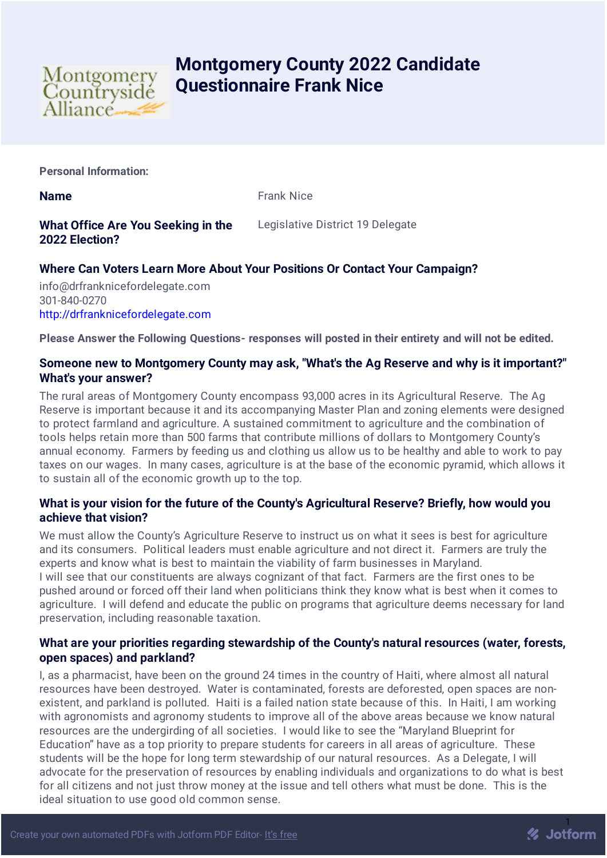

# **Montgomery County 2022 Candidate Questionnaire Frank Nice**

**Personal Information:**

**Name Frank Nice** 

## **What Office Are You Seeking in the 2022 Election?**

Legislative District 19 Delegate

# **Where Can Voters Learn More About Your Positions Or Contact Your Campaign?**

info@drfranknicefordelegate.com 301-840-0270 [http://drfranknicefordelegate.com](http://drfranknicefordelegate.com/)

**Please Answer the Following Questions- responses will posted in their entirety and will not be edited.**

### **Someone new to Montgomery County may ask, "What's the Ag Reserve and why is it important?" What's your answer?**

The rural areas of Montgomery County encompass 93,000 acres in its Agricultural Reserve. The Ag Reserve is important because it and its accompanying Master Plan and zoning elements were designed to protect farmland and agriculture. A sustained commitment to agriculture and the combination of tools helps retain more than 500 farms that contribute millions of dollars to Montgomery County's annual economy. Farmers by feeding us and clothing us allow us to be healthy and able to work to pay taxes on our wages. In many cases, agriculture is at the base of the economic pyramid, which allows it to sustain all of the economic growth up to the top.

## **What is your vision for the future of the County's Agricultural Reserve? Briefly, how would you achieve that vision?**

We must allow the County's Agriculture Reserve to instruct us on what it sees is best for agriculture and its consumers. Political leaders must enable agriculture and not direct it. Farmers are truly the experts and know what is best to maintain the viability of farm businesses in Maryland. I will see that our constituents are always cognizant of that fact. Farmers are the first ones to be pushed around or forced off their land when politicians think they know what is best when it comes to agriculture. I will defend and educate the public on programs that agriculture deems necessary for land preservation, including reasonable taxation.

#### **What are your priorities regarding stewardship of the County's natural resources (water, forests, open spaces) and parkland?**

I, as a pharmacist, have been on the ground 24 times in the country of Haiti, where almost all natural resources have been destroyed. Water is contaminated, forests are deforested, open spaces are nonexistent, and parkland is polluted. Haiti is a failed nation state because of this. In Haiti, I am working with agronomists and agronomy students to improve all of the above areas because we know natural resources are the undergirding of all societies. I would like to see the "Maryland Blueprint for Education" have as a top priority to prepare students for careers in all areas of agriculture. These students will be the hope for long term stewardship of our natural resources. As a Delegate, I will advocate for the preservation of resources by enabling individuals and organizations to do what is best for all citizens and not just throw money at the issue and tell others what must be done. This is the ideal situation to use good old common sense.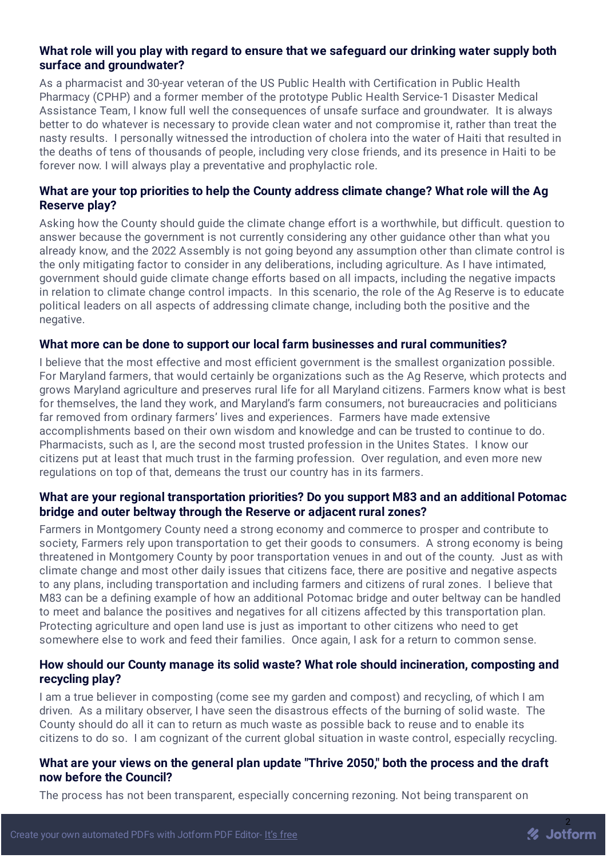#### **What role will you play with regard to ensure that we safeguard our drinking water supply both surface and groundwater?**

As a pharmacist and 30-year veteran of the US Public Health with Certification in Public Health Pharmacy (CPHP) and a former member of the prototype Public Health Service-1 Disaster Medical Assistance Team, I know full well the consequences of unsafe surface and groundwater. It is always better to do whatever is necessary to provide clean water and not compromise it, rather than treat the nasty results. I personally witnessed the introduction of cholera into the water of Haiti that resulted in the deaths of tens of thousands of people, including very close friends, and its presence in Haiti to be forever now. I will always play a preventative and prophylactic role.

## **What are your top priorities to help the County address climate change? What role will the Ag Reserve play?**

Asking how the County should guide the climate change effort is a worthwhile, but difficult. question to answer because the government is not currently considering any other guidance other than what you already know, and the 2022 Assembly is not going beyond any assumption other than climate control is the only mitigating factor to consider in any deliberations, including agriculture. As I have intimated, government should guide climate change efforts based on all impacts, including the negative impacts in relation to climate change control impacts. In this scenario, the role of the Ag Reserve is to educate political leaders on all aspects of addressing climate change, including both the positive and the negative.

#### **What more can be done to support our local farm businesses and rural communities?**

I believe that the most effective and most efficient government is the smallest organization possible. For Maryland farmers, that would certainly be organizations such as the Ag Reserve, which protects and grows Maryland agriculture and preserves rural life for all Maryland citizens. Farmers know what is best for themselves, the land they work, and Maryland's farm consumers, not bureaucracies and politicians far removed from ordinary farmers' lives and experiences. Farmers have made extensive accomplishments based on their own wisdom and knowledge and can be trusted to continue to do. Pharmacists, such as I, are the second most trusted profession in the Unites States. I know our citizens put at least that much trust in the farming profession. Over regulation, and even more new regulations on top of that, demeans the trust our country has in its farmers.

#### **What are your regional transportation priorities? Do you support M83 and an additional Potomac bridge and outer beltway through the Reserve or adjacent rural zones?**

Farmers in Montgomery County need a strong economy and commerce to prosper and contribute to society, Farmers rely upon transportation to get their goods to consumers. A strong economy is being threatened in Montgomery County by poor transportation venues in and out of the county. Just as with climate change and most other daily issues that citizens face, there are positive and negative aspects to any plans, including transportation and including farmers and citizens of rural zones. I believe that M83 can be a defining example of how an additional Potomac bridge and outer beltway can be handled to meet and balance the positives and negatives for all citizens affected by this transportation plan. Protecting agriculture and open land use is just as important to other citizens who need to get somewhere else to work and feed their families. Once again, I ask for a return to common sense.

#### **How should our County manage its solid waste? What role should incineration, composting and recycling play?**

I am a true believer in composting (come see my garden and compost) and recycling, of which I am driven. As a military observer, I have seen the disastrous effects of the burning of solid waste. The County should do all it can to return as much waste as possible back to reuse and to enable its citizens to do so. I am cognizant of the current global situation in waste control, especially recycling.

#### **What are your views on the general plan update "Thrive 2050," both the process and the draft now before the Council?**

The process has not been transparent, especially concerning rezoning. Not being transparent on